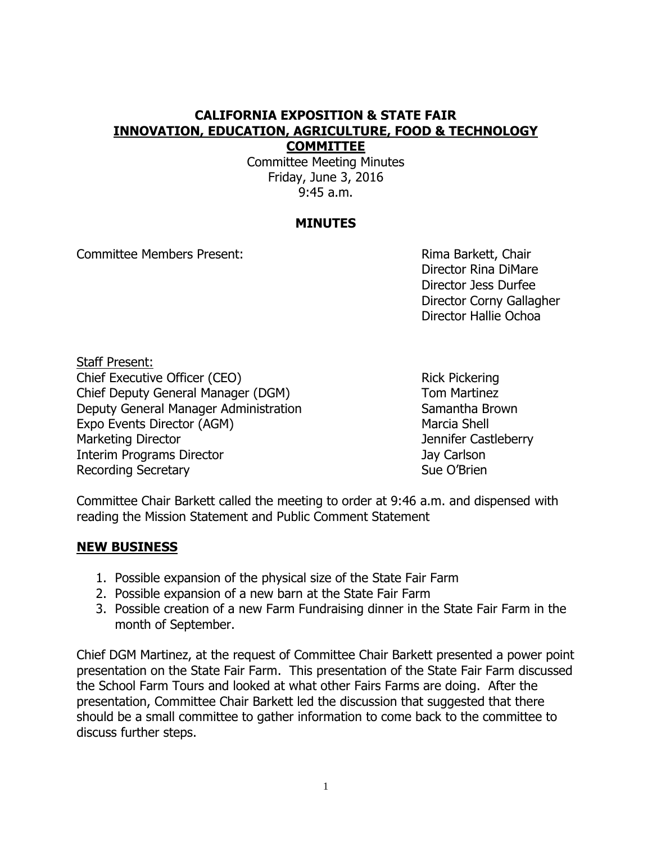### **CALIFORNIA EXPOSITION & STATE FAIR INNOVATION, EDUCATION, AGRICULTURE, FOOD & TECHNOLOGY COMMITTEE**

Committee Meeting Minutes Friday, June 3, 2016 9:45 a.m.

## **MINUTES**

Committee Members Present: Committee Members Present:

Director Rina DiMare Director Jess Durfee Director Corny Gallagher Director Hallie Ochoa

Staff Present: Chief Executive Officer (CEO) Rick Pickering Chief Deputy General Manager (DGM) Tom Martinez Deputy General Manager Administration Samantha Brown Expo Events Director (AGM) Marcia Shell Marketing Director **Marketing Director** And Tennifer Castleberry Interim Programs Director **Carlson** Jay Carlson Recording Secretary **Sue O'Brien** Sue O'Brien

Committee Chair Barkett called the meeting to order at 9:46 a.m. and dispensed with reading the Mission Statement and Public Comment Statement

# **NEW BUSINESS**

- 1. Possible expansion of the physical size of the State Fair Farm
- 2. Possible expansion of a new barn at the State Fair Farm
- 3. Possible creation of a new Farm Fundraising dinner in the State Fair Farm in the month of September.

Chief DGM Martinez, at the request of Committee Chair Barkett presented a power point presentation on the State Fair Farm. This presentation of the State Fair Farm discussed the School Farm Tours and looked at what other Fairs Farms are doing. After the presentation, Committee Chair Barkett led the discussion that suggested that there should be a small committee to gather information to come back to the committee to discuss further steps.